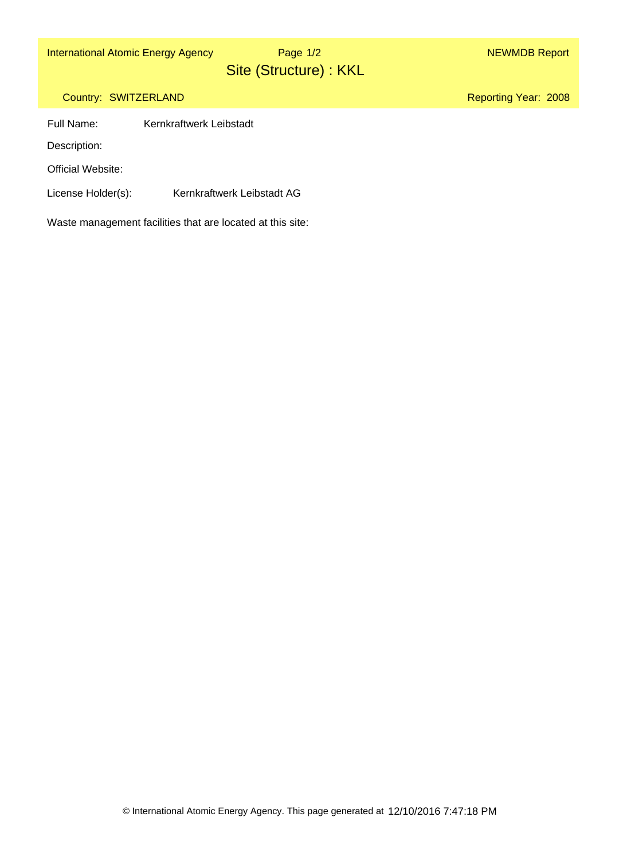International Atomic Energy Agency Nege 1/2 NEWMDB Report

Site (Structure) : KKL Page 1/2

Reporting Year: 2008

## Country: SWITZERLAND

Full Name: Kernkraftwerk Leibstadt

Description:

Official Website:

License Holder(s): Kernkraftwerk Leibstadt AG

Waste management facilities that are located at this site: